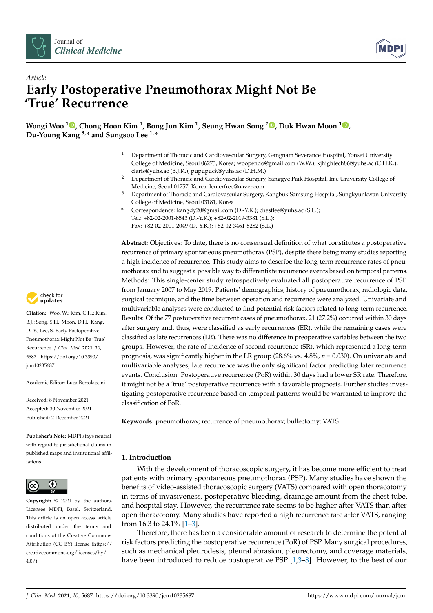



# *Article* **Early Postoperative Pneumothorax Might Not Be 'True' Recurrence**

**Wongi Woo <sup>1</sup> [,](https://orcid.org/0000-0002-0053-4470) Chong Hoon Kim <sup>1</sup> , Bong Jun Kim <sup>1</sup> , Seung Hwan Song [2](https://orcid.org/0000-0002-3910-5585) , Duk Hwan Moon <sup>1</sup> [,](https://orcid.org/0000-0003-1388-2471) Du-Young Kang 3,\* and Sungsoo Lee 1,\***

- <sup>1</sup> Department of Thoracic and Cardiovascular Surgery, Gangnam Severance Hospital, Yonsei University College of Medicine, Seoul 06273, Korea; woopendo@gmail.com (W.W.); kjhightech86@yuhs.ac (C.H.K.); claris@yuhs.ac (B.J.K.); pupupuck@yuhs.ac (D.H.M.)
- <sup>2</sup> Department of Thoracic and Cardiovascular Surgery, Sanggye Paik Hospital, Inje University College of Medicine, Seoul 01757, Korea; lenierfree@naver.com
- <sup>3</sup> Department of Thoracic and Cardiovascular Surgery, Kangbuk Samsung Hospital, Sungkyunkwan University College of Medicine, Seoul 03181, Korea
- **\*** Correspondence: kangdy20@gmail.com (D.-Y.K.); chestlee@yuhs.ac (S.L.); Tel.: +82-02-2001-8543 (D.-Y.K.); +82-02-2019-3381 (S.L.); Fax: +82-02-2001-2049 (D.-Y.K.); +82-02-3461-8282 (S.L.)

**Abstract:** Objectives: To date, there is no consensual definition of what constitutes a postoperative recurrence of primary spontaneous pneumothorax (PSP), despite there being many studies reporting a high incidence of recurrence. This study aims to describe the long-term recurrence rates of pneumothorax and to suggest a possible way to differentiate recurrence events based on temporal patterns. Methods: This single-center study retrospectively evaluated all postoperative recurrence of PSP from January 2007 to May 2019. Patients' demographics, history of pneumothorax, radiologic data, surgical technique, and the time between operation and recurrence were analyzed. Univariate and multivariable analyses were conducted to find potential risk factors related to long-term recurrence. Results: Of the 77 postoperative recurrent cases of pneumothorax, 21 (27.2%) occurred within 30 days after surgery and, thus, were classified as early recurrences (ER), while the remaining cases were classified as late recurrences (LR). There was no difference in preoperative variables between the two groups. However, the rate of incidence of second recurrence (SR), which represented a long-term prognosis, was significantly higher in the LR group (28.6% vs. 4.8%, *p* = 0.030). On univariate and multivariable analyses, late recurrence was the only significant factor predicting later recurrence events. Conclusion: Postoperative recurrence (PoR) within 30 days had a lower SR rate. Therefore, it might not be a 'true' postoperative recurrence with a favorable prognosis. Further studies investigating postoperative recurrence based on temporal patterns would be warranted to improve the classification of PoR.

**Keywords:** pneumothorax; recurrence of pneumothorax; bullectomy; VATS

# **1. Introduction**

With the development of thoracoscopic surgery, it has become more efficient to treat patients with primary spontaneous pneumothorax (PSP). Many studies have shown the benefits of video-assisted thoracoscopic surgery (VATS) compared with open thoracotomy in terms of invasiveness, postoperative bleeding, drainage amount from the chest tube, and hospital stay. However, the recurrence rate seems to be higher after VATS than after open thoracotomy. Many studies have reported a high recurrence rate after VATS, ranging from 16.3 to 24.1% [\[1–](#page-6-0)[3\]](#page-6-1).

Therefore, there has been a considerable amount of research to determine the potential risk factors predicting the postoperative recurrence (PoR) of PSP. Many surgical procedures, such as mechanical pleurodesis, pleural abrasion, pleurectomy, and coverage materials, have been introduced to reduce postoperative PSP  $[1,3-8]$  $[1,3-8]$  $[1,3-8]$ . However, to the best of our



**Citation:** Woo, W.; Kim, C.H.; Kim, B.J.; Song, S.H.; Moon, D.H.; Kang, D.-Y.; Lee, S. Early Postoperative Pneumothorax Might Not Be 'True' Recurrence. *J. Clin. Med.* **2021**, *10*, 5687. [https://doi.org/10.3390/](https://doi.org/10.3390/jcm10235687) [jcm10235687](https://doi.org/10.3390/jcm10235687)

Academic Editor: Luca Bertolaccini

Received: 8 November 2021 Accepted: 30 November 2021 Published: 2 December 2021

**Publisher's Note:** MDPI stays neutral with regard to jurisdictional claims in published maps and institutional affiliations.



**Copyright:** © 2021 by the authors. Licensee MDPI, Basel, Switzerland. This article is an open access article distributed under the terms and conditions of the Creative Commons Attribution (CC BY) license (https:/[/](https://creativecommons.org/licenses/by/4.0/) [creativecommons.org/licenses/by/](https://creativecommons.org/licenses/by/4.0/)  $4.0/$ ).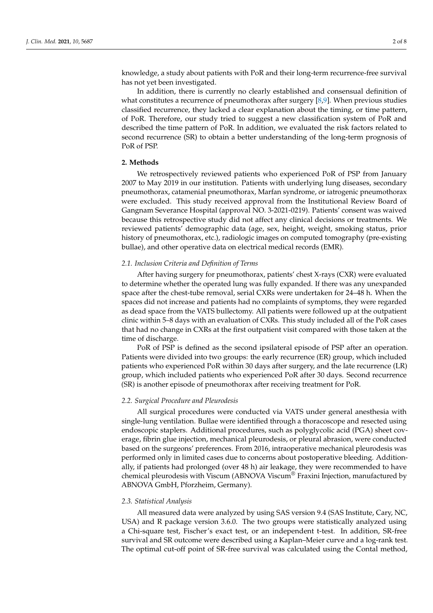knowledge, a study about patients with PoR and their long-term recurrence-free survival has not yet been investigated.

In addition, there is currently no clearly established and consensual definition of what constitutes a recurrence of pneumothorax after surgery  $[8,9]$  $[8,9]$ . When previous studies classified recurrence, they lacked a clear explanation about the timing, or time pattern, of PoR. Therefore, our study tried to suggest a new classification system of PoR and described the time pattern of PoR. In addition, we evaluated the risk factors related to second recurrence (SR) to obtain a better understanding of the long-term prognosis of PoR of PSP.

## **2. Methods**

We retrospectively reviewed patients who experienced PoR of PSP from January 2007 to May 2019 in our institution. Patients with underlying lung diseases, secondary pneumothorax, catamenial pneumothorax, Marfan syndrome, or iatrogenic pneumothorax were excluded. This study received approval from the Institutional Review Board of Gangnam Severance Hospital (approval NO. 3-2021-0219). Patients' consent was waived because this retrospective study did not affect any clinical decisions or treatments. We reviewed patients' demographic data (age, sex, height, weight, smoking status, prior history of pneumothorax, etc.), radiologic images on computed tomography (pre-existing bullae), and other operative data on electrical medical records (EMR).

#### *2.1. Inclusion Criteria and Definition of Terms*

After having surgery for pneumothorax, patients' chest X-rays (CXR) were evaluated to determine whether the operated lung was fully expanded. If there was any unexpanded space after the chest-tube removal, serial CXRs were undertaken for 24–48 h. When the spaces did not increase and patients had no complaints of symptoms, they were regarded as dead space from the VATS bullectomy. All patients were followed up at the outpatient clinic within 5–8 days with an evaluation of CXRs. This study included all of the PoR cases that had no change in CXRs at the first outpatient visit compared with those taken at the time of discharge.

PoR of PSP is defined as the second ipsilateral episode of PSP after an operation. Patients were divided into two groups: the early recurrence (ER) group, which included patients who experienced PoR within 30 days after surgery, and the late recurrence (LR) group, which included patients who experienced PoR after 30 days. Second recurrence (SR) is another episode of pneumothorax after receiving treatment for PoR.

#### *2.2. Surgical Procedure and Pleurodesis*

All surgical procedures were conducted via VATS under general anesthesia with single-lung ventilation. Bullae were identified through a thoracoscope and resected using endoscopic staplers. Additional procedures, such as polyglycolic acid (PGA) sheet coverage, fibrin glue injection, mechanical pleurodesis, or pleural abrasion, were conducted based on the surgeons' preferences. From 2016, intraoperative mechanical pleurodesis was performed only in limited cases due to concerns about postoperative bleeding. Additionally, if patients had prolonged (over 48 h) air leakage, they were recommended to have chemical pleurodesis with Viscum (ABNOVA Viscum $^{\circledR}$  Fraxini Injection, manufactured by ABNOVA GmbH, Pforzheim, Germany).

#### *2.3. Statistical Analysis*

All measured data were analyzed by using SAS version 9.4 (SAS Institute, Cary, NC, USA) and R package version 3.6.0. The two groups were statistically analyzed using a Chi-square test, Fischer's exact test, or an independent t-test. In addition, SR-free survival and SR outcome were described using a Kaplan–Meier curve and a log-rank test. The optimal cut-off point of SR-free survival was calculated using the Contal method,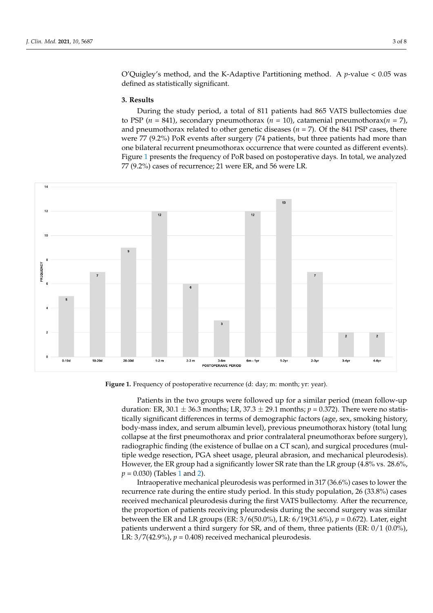O'Quigley's method, and the K-Adaptive Partitioning method. A *p*-value < 0.05 was defined as statistically significant. defined as statistically significant. tically significant.

## **3. Results**

During the study period, a total of 811 patients had 865 VATS bullectomies due **3. Results**  to PSP ( $n = 841$ ), secondary pneumothorax ( $n = 10$ ), catamenial pneumothorax( $n = 7$ ), and pneumothorax related to other genetic diseases ( $n = 7$ ). Of the 841 PSP cases, there and predicements related to other genere diseases (*n* = *1*). Of the 841 PSP cases, there were 77 (9.2%) PoR events after surgery (74 patients, but three patients had more than one bilateral recurrent pneumothorax occurrence that were counted as different events). Figure [1](#page-2-0) presents the frequency of PoR based on postoperative days. In total, we analyzed 77 (9.2%) cases of recurrence; 21 were ER, and 56 were LR. (9.2%) cases of recurrence; 21 were ER, and 56 were LR.  $1500$  presents the frequency of Portugal on postoperative days. In total, we analyze

<span id="page-2-0"></span>

*J. Clin. Med.* **2021**, *10*, x FOR PEER REVIEW 3 of 9

**Figure 1.** Frequency of postoperative recurrence (d: day; m: month; yr: year). **Figure 1.** Frequency of postoperative recurrence (d: day; m: month; yr: year).

Patients in the two groups were followed up for a similar period (mean follow-up Patients in the two groups were followed up for a similar period (mean follow-up duration: ER, 30.1  $\pm$  36.3 months; LR, 37.3  $\pm$  29.1 months;  $p = 0.372$ ). There were no statistically significant differences in terms of demographic factors (age, sex, smoking history, tically significant differences in terms of demographic factors (age, sex, smoking history, body-mass index, and serum albumin level), previous pneumothorax history (total lung body-mass index, and serum albumin level), previous pneumothorax history (total lung collapse at the first pneumothorax and prior contralateral pneumothorax before surgery), collapse at the first pneumothorax and prior contralateral pneumothorax before surgery), radiographic finding (the existence of bullae on a CT scan), and surgical procedures (multiple wedge resection, PGA sheet usage, pleural abrasion, and mechanical pleurodesis). tiple wedge resection, PGA sheet usage, pleural abrasion, and mechanical pleurodesis). However, the ER group had a significantly lower SR rate than the LR group (4.8% vs. However, the ER group had a significantly lower SR rate than the LR group (4.8% vs. 28.6%,  $p = 0.030$ ) (Tables [1](#page-3-0) and [2\)](#page-3-1).

Intraoperative mechanical pleurodesis was performed in 317 (36.6%) cases to lower Intraoperative mechanical pleurodesis was performed in 317 (36.6%) cases to lower the the recurrence rate during the entire study period. In this study population, 26 (33.8%) recurrence rate during the entire study period. In this study population, 26 (33.8%) cases cearience rate daring the chart stady period. In the state of political pleurodesis during the record received mechanical pleurodesis during the first VATS bullectomy. After the recurrence, the proportion of patients receiving pleurodesis during the second surgery was similar<br>the proportion of patients receiving pleurodesis during the second surgery was similar between the ER and LR groups (ER:  $3/6(50.0\%)$ , LR:  $6/19(31.6\%)$ ,  $p = 0.672$ ). Later, eight patients underwent a third surgery for SR, and of them, three patients (ER: 0/1 (0.0%),<br>*p. 2./7/1*2.0%), and a *third* surgery for the contract the patients (ER: 0/1 (0.0%), LR:  $3/7(42.9\%)$ ,  $p = 0.408$ ) received mechanical pleurodesis.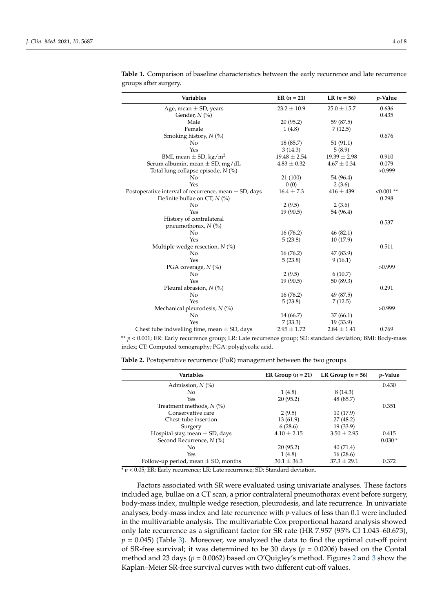| Variables                                                 | ER $(n = 21)$    | LR $(n = 56)$    | $p$ -Value   |
|-----------------------------------------------------------|------------------|------------------|--------------|
| Age, mean $\pm$ SD, years                                 | $23.2 \pm 10.9$  | $25.0 \pm 15.7$  | 0.636        |
| Gender, $N$ (%)                                           |                  |                  | 0.435        |
| Male                                                      | 20(95.2)         | 59 (87.5)        |              |
| Female                                                    | 1(4.8)           | 7(12.5)          |              |
| Smoking history, $N$ (%)                                  |                  |                  | 0.676        |
| N <sub>o</sub>                                            | 18(85.7)         | 51(91.1)         |              |
| Yes                                                       | 3(14.3)          | 5(8.9)           |              |
| BMI, mean $\pm$ SD, kg/m <sup>2</sup>                     | $19.48 \pm 2.54$ | $19.39 \pm 2.98$ | 0.910        |
| Serum albumin, mean $\pm$ SD, mg/dL                       | $4.83 \pm 0.32$  | $4.67 \pm 0.34$  | 0.079        |
| Total lung collapse episode, N (%)                        |                  |                  | >0.999       |
| No                                                        | 21 (100)         | 54 (96.4)        |              |
| Yes                                                       | 0(0)             | 2(3.6)           |              |
| Postoperative interval of recurrence, mean $\pm$ SD, days | $16.4 \pm 7.3$   | $416 \pm 439$    | $< 0.001$ ** |
| Definite bullae on CT, $N$ (%)                            |                  |                  | 0.298        |
| No                                                        | 2(9.5)           | 2(3.6)           |              |
| Yes                                                       | 19(90.5)         | 54 (96.4)        |              |
| History of contralateral                                  |                  |                  | 0.537        |
| pneumothorax, $N$ (%)                                     |                  |                  |              |
| No                                                        | 16(76.2)         | 46(82.1)         |              |
| Yes                                                       | 5(23.8)          | 10 (17.9)        |              |
| Multiple wedge resection, $N$ (%)                         |                  |                  | 0.511        |
| No                                                        | 16(76.2)         | 47 (83.9)        |              |
| Yes                                                       | 5(23.8)          | 9(16.1)          |              |
| PGA coverage, N (%)                                       |                  |                  | >0.999       |
| No                                                        | 2(9.5)           | 6(10.7)          |              |
| Yes                                                       | 19(90.5)         | 50 (89.3)        |              |
| Pleural abrasion, $N$ (%)                                 |                  |                  | 0.291        |
| No                                                        | 16(76.2)         | 49 (87.5)        |              |
| Yes                                                       | 5(23.8)          | 7(12.5)          |              |
| Mechanical pleurodesis, $N$ (%)                           |                  |                  | >0.999       |
| No                                                        | 14 (66.7)        | 37(66.1)         |              |
| Yes                                                       | 7(33.3)          | 19(33.9)         |              |
| Chest tube indwelling time, mean $\pm$ SD, days           | $2.95 \pm 1.72$  | $2.84 \pm 1.41$  | 0.769        |

<span id="page-3-0"></span>**Table 1.** Comparison of baseline characteristics between the early recurrence and late recurrence groups after surgery.

\*\* *p* < 0.001; ER: Early recurrence group; LR: Late recurrence group; SD: standard deviation; BMI: Body-mass index; CT: Computed tomography; PGA: polyglycolic acid.

<span id="page-3-1"></span>**Table 2.** Postoperative recurrence (PoR) management between the two groups.

| <b>Variables</b>                                                                          | ER Group $(n = 21)$                                          | LR Group $(n = 56)$ | <i>p</i> -Value |
|-------------------------------------------------------------------------------------------|--------------------------------------------------------------|---------------------|-----------------|
| Admission, $N$ $\left(\% \right)$                                                         |                                                              |                     | 0.430           |
| No.                                                                                       | 1(4.8)                                                       | 8 (14.3)            |                 |
| Yes                                                                                       | 20(95.2)                                                     | 48 (85.7)           |                 |
| Treatment methods, $N$ (%)                                                                |                                                              |                     | 0.351           |
| Conservative care                                                                         | 2(9.5)                                                       | 10(17.9)            |                 |
| Chest-tube insertion                                                                      | 13(61.9)                                                     | 27 (48.2)           |                 |
| Surgery                                                                                   | 6(28.6)                                                      | 19(33.9)            |                 |
| Hospital stay, mean $\pm$ SD, days                                                        | $4.10 \pm 2.15$                                              | $3.50 \pm 2.95$     | 0.415           |
| Second Recurrence, $N$ (%)                                                                |                                                              |                     | $0.030*$        |
| No                                                                                        | 20(95.2)                                                     | 40(71.4)            |                 |
| Yes                                                                                       | 1(4.8)                                                       | 16(28.6)            |                 |
| Follow-up period, mean $\pm$ SD, months<br>$\sim$ $\sim$ $\sim$ $\sim$ $\sim$ $\sim$<br>. | $30.1 \pm 36.3$<br>$\sim$ $\sim$ $\sim$ $\sim$ $\sim$ $\sim$ | $37.3 \pm 29.1$     | 0.372           |

 $* p < 0.05$ ; ER: Early recurrence; LR: Late recurrence; SD: Standard deviation.

Factors associated with SR were evaluated using univariate analyses. These factors included age, bullae on a CT scan, a prior contralateral pneumothorax event before surgery, body-mass index, multiple wedge resection, pleurodesis, and late recurrence. In univariate analyses, body-mass index and late recurrence with *p*-values of less than 0.1 were included in the multivariable analysis. The multivariable Cox proportional hazard analysis showed only late recurrence as a significant factor for SR rate (HR 7.957 (95% CI 1.043–60.673),  $p = 0.045$ ) (Table [3\)](#page-4-0). Moreover, we analyzed the data to find the optimal cut-off point of SR-free survival; it was determined to be 30 days (*p* = 0.0206) based on the Contal method and 23 days (*p* = 0.0062) based on O'Quigley's method. Figures [2](#page-4-1) and [3](#page-5-0) show the Kaplan–Meier SR-free survival curves with two different cut-off values.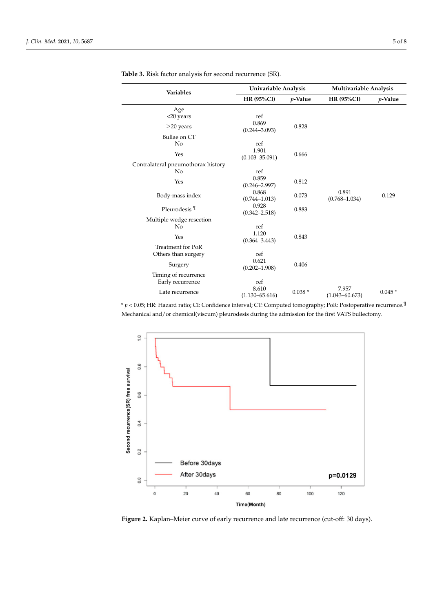| Variables                          |                             | Univariable Analysis |                             | Multivariable Analysis |  |
|------------------------------------|-----------------------------|----------------------|-----------------------------|------------------------|--|
|                                    | <b>HR (95%CI)</b>           | $p$ -Value           | <b>HR (95%CI)</b>           | $p$ -Value             |  |
| Age                                |                             |                      |                             |                        |  |
| <20 years                          | ref                         |                      |                             |                        |  |
| $\geq$ 20 years                    | 0.869<br>$(0.244 - 3.093)$  | 0.828                |                             |                        |  |
| Bullae on CT                       |                             |                      |                             |                        |  |
| No                                 | ref                         |                      |                             |                        |  |
| Yes                                | 1.901<br>$(0.103 - 35.091)$ | 0.666                |                             |                        |  |
| Contralateral pneumothorax history |                             |                      |                             |                        |  |
| No                                 | ref                         |                      |                             |                        |  |
| Yes                                | 0.859<br>$(0.246 - 2.997)$  | 0.812                |                             |                        |  |
| Body-mass index                    | 0.868<br>$(0.744 - 1.013)$  | 0.073                | 0.891<br>$(0.768 - 1.034)$  | 0.129                  |  |
| Pleurodesis <sup>¶</sup>           | 0.928<br>$(0.342 - 2.518)$  | 0.883                |                             |                        |  |
| Multiple wedge resection           |                             |                      |                             |                        |  |
| No                                 | ref                         |                      |                             |                        |  |
| Yes                                | 1.120<br>$(0.364 - 3.443)$  | 0.843                |                             |                        |  |
| Treatment for PoR                  |                             |                      |                             |                        |  |
| Others than surgery                | ref                         |                      |                             |                        |  |
| Surgery                            | 0.621<br>$(0.202 - 1.908)$  | 0.406                |                             |                        |  |
| Timing of recurrence               |                             |                      |                             |                        |  |
| Early recurrence                   | ref                         |                      |                             |                        |  |
| Late recurrence                    | 8.610<br>$(1.130 - 65.616)$ | $0.038*$             | 7.957<br>$(1.043 - 60.673)$ | $0.045*$               |  |

<span id="page-4-0"></span>**Table 3.** Risk factor analysis for second recurrence (SR).

\* *p* < 0.05; HR: Hazard ratio; CI: Confidence interval; CT: Computed tomography; PoR: Postoperative recurrence.¶ Mechanical and/or chemical(viscum) pleurodesis during the admission for the first VATS bullectomy.

<span id="page-4-1"></span>

**Figure 2.** Kaplan–Meier curve of early recurrence and late recurrence (cut-off: 30 days).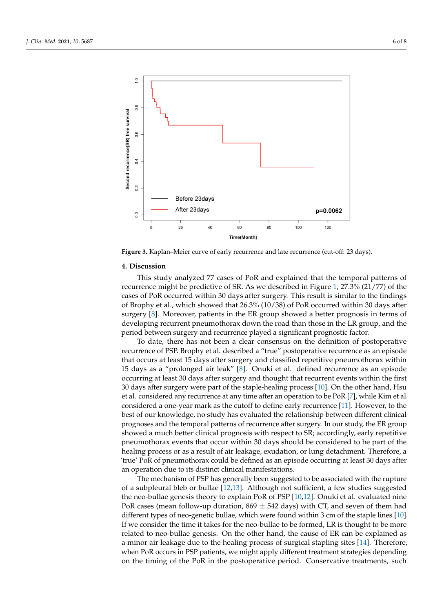



**Figure 3.** Kaplan–Meier curve of early recurrence and late recurrence (cut-off: 23 days). **Figure 3.** Kaplan–Meier curve of early recurrence and late recurrence (cut-off: 23 days).

# **4. Discussion**

<span id="page-5-0"></span> $1.0$ 

This study analyzed 77 cases of PoR and explained that the temporal patterns of recurrence might be predictive of SR. As we described in Figure [1,](#page-2-0) 27.3% (21/77) of the  $\overline{SP}$ currence of Front occurred within 50 days after stagery. This result is similar to the midirigs of Brophy et al., which showed that 26.3% (10/38) of PoR occurred within 30 days after surgery [8]. Moreover, patients in the ER group showed a better prognosis in terms of developing recurrent pneumothorax down the road than those in the LR group, and the period between surgery and recurrence played a significant prognostic factor.<br>The later than the group between showever and recurrence public definition of good group line. cases of PoR occurred within 30 days after surgery. This result is similar to the findings

recurrence of PSP. Brophy et al. described a "true" postoperative recurrence as an episode that occurs at least 15 days after surgery and classified repetitive pneumothorax within 15 days as a "prolonged air leak" [\[8\]](#page-7-0). Onuki et al. defined recurrence as an episode occurring at least 30 days after surgery and thought that recurrent events within the first<br>20 days after surgery we want of the stephents healing are seen [10]. On the sthemhand Han et al. considered any recurrence at any time after an operation to be PoR [\[7\]](#page-7-3), while Kim et al. considered a one-year mark as the cutoff to define early r[ecu](#page-7-4)rrence [11]. However, to the best of our knowledge, no study has evaluated the relationship between different clinical prognoses and the temporal patterns of recurrence after surgery. In our study, the ER group preumothorax events that occur within 30 days should be considered to be part of the healing process or as a result of air leakage, exudation, or lung detachment. Therefore, a 'true' PoR of pneumothorax could be defined as an episode occurring at least 30 days after To date, there has not been a clear consensus on the definition of postoperative 30 days after surgery were part of the staple-healing process [\[10\]](#page-7-2). On the other hand, Hsu showed a much better clinical prognosis with respect to SR; accordingly, early repetitive an operation due to its distinct clinical manifestations.

The mechanism of PSP has generally been suggested to be associated with the rupture of a subpleural bleb or bullae [\[12,](#page-7-5)[13\]](#page-7-6). Although not sufficient, a few studies suggested the neo-bullae genesis theory to explain PoR of PSP [\[10](#page-7-2)[,12\]](#page-7-5). Onuki et al. evaluated nine PoR cases (mean follow-up duration,  $869 \pm 542$  days) with CT, and seven of them had different types of neo-genetic bullae, which were found within 3 cm of the staple lines [\[10\]](#page-7-2). If we consider the time it takes for the neo-bullae to be formed, LR is thought to be more related to neo-bullae genesis. On the other hand, the cause of ER can be explained as a minor air leakage due to the healing process of surgical stapling sites [\[14\]](#page-7-7). Therefore, when PoR occurs in PSP patients, we might apply different treatment strategies depending on the timing of the PoR in the postoperative period. Conservative treatments, such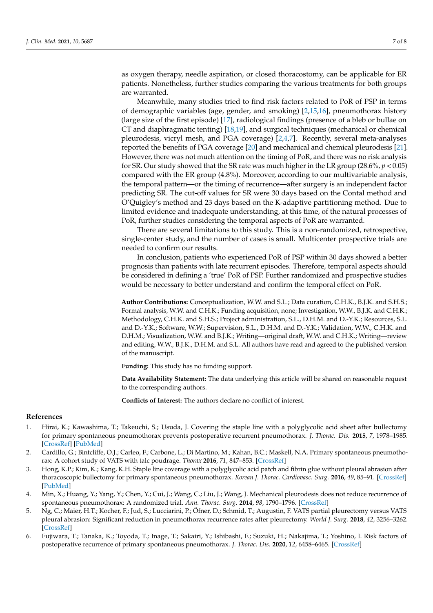as oxygen therapy, needle aspiration, or closed thoracostomy, can be applicable for ER patients. Nonetheless, further studies comparing the various treatments for both groups are warranted.

Meanwhile, many studies tried to find risk factors related to PoR of PSP in terms of demographic variables (age, gender, and smoking) [\[2](#page-6-2)[,15](#page-7-8)[,16\]](#page-7-9), pneumothorax history (large size of the first episode) [\[17\]](#page-7-10), radiological findings (presence of a bleb or bullae on CT and diaphragmatic tenting) [\[18](#page-7-11)[,19\]](#page-7-12), and surgical techniques (mechanical or chemical pleurodesis, vicryl mesh, and PGA coverage) [\[2](#page-6-2)[,4](#page-6-3)[,7\]](#page-7-3). Recently, several meta-analyses reported the benefits of PGA coverage [\[20\]](#page-7-13) and mechanical and chemical pleurodesis [\[21\]](#page-7-14). However, there was not much attention on the timing of PoR, and there was no risk analysis for SR. Our study showed that the SR rate was much higher in the LR group (28.6%, *p* < 0.05) compared with the ER group (4.8%). Moreover, according to our multivariable analysis, the temporal pattern—or the timing of recurrence—after surgery is an independent factor predicting SR. The cut-off values for SR were 30 days based on the Contal method and O'Quigley's method and 23 days based on the K-adaptive partitioning method. Due to limited evidence and inadequate understanding, at this time, of the natural processes of PoR, further studies considering the temporal aspects of PoR are warranted.

There are several limitations to this study. This is a non-randomized, retrospective, single-center study, and the number of cases is small. Multicenter prospective trials are needed to confirm our results.

In conclusion, patients who experienced PoR of PSP within 30 days showed a better prognosis than patients with late recurrent episodes. Therefore, temporal aspects should be considered in defining a 'true' PoR of PSP. Further randomized and prospective studies would be necessary to better understand and confirm the temporal effect on PoR.

**Author Contributions:** Conceptualization, W.W. and S.L.; Data curation, C.H.K., B.J.K. and S.H.S.; Formal analysis, W.W. and C.H.K.; Funding acquisition, none; Investigation, W.W., B.J.K. and C.H.K.; Methodology, C.H.K. and S.H.S.; Project administration, S.L., D.H.M. and D.-Y.K.; Resources, S.L. and D.-Y.K.; Software, W.W.; Supervision, S.L., D.H.M. and D.-Y.K.; Validation, W.W., C.H.K. and D.H.M.; Visualization, W.W. and B.J.K.; Writing—original draft, W.W. and C.H.K.; Writing—review and editing, W.W., B.J.K., D.H.M. and S.L. All authors have read and agreed to the published version of the manuscript.

**Funding:** This study has no funding support.

**Data Availability Statement:** The data underlying this article will be shared on reasonable request to the corresponding authors.

**Conflicts of Interest:** The authors declare no conflict of interest.

### **References**

- <span id="page-6-0"></span>1. Hirai, K.; Kawashima, T.; Takeuchi, S.; Usuda, J. Covering the staple line with a polyglycolic acid sheet after bullectomy for primary spontaneous pneumothorax prevents postoperative recurrent pneumothorax. *J. Thorac. Dis.* **2015**, *7*, 1978–1985. [\[CrossRef\]](http://doi.org/10.3978/j.issn.2072-1439.2015.11.23) [\[PubMed\]](http://www.ncbi.nlm.nih.gov/pubmed/26716036)
- <span id="page-6-2"></span>2. Cardillo, G.; Bintcliffe, O.J.; Carleo, F.; Carbone, L.; Di Martino, M.; Kahan, B.C.; Maskell, N.A. Primary spontaneous pneumothorax: A cohort study of VATS with talc poudrage. *Thorax* **2016**, *71*, 847–853. [\[CrossRef\]](http://doi.org/10.1136/thoraxjnl-2015-207976)
- <span id="page-6-1"></span>3. Hong, K.P.; Kim, K.; Kang, K.H. Staple line coverage with a polyglycolic acid patch and fibrin glue without pleural abrasion after thoracoscopic bullectomy for primary spontaneous pneumothorax. *Korean J. Thorac. Cardiovasc. Surg.* **2016**, *49*, 85–91. [\[CrossRef\]](http://doi.org/10.5090/kjtcs.2016.49.2.85) [\[PubMed\]](http://www.ncbi.nlm.nih.gov/pubmed/27066431)
- <span id="page-6-3"></span>4. Min, X.; Huang, Y.; Yang, Y.; Chen, Y.; Cui, J.; Wang, C.; Liu, J.; Wang, J. Mechanical pleurodesis does not reduce recurrence of spontaneous pneumothorax: A randomized trial. *Ann. Thorac. Surg.* **2014**, *98*, 1790–1796. [\[CrossRef\]](http://doi.org/10.1016/j.athoracsur.2014.06.034)
- 5. Ng, C.; Maier, H.T.; Kocher, F.; Jud, S.; Lucciarini, P.; Öfner, D.; Schmid, T.; Augustin, F. VATS partial pleurectomy versus VATS pleural abrasion: Significant reduction in pneumothorax recurrence rates after pleurectomy. *World J. Surg.* **2018**, *42*, 3256–3262. [\[CrossRef\]](http://doi.org/10.1007/s00268-018-4640-8)
- 6. Fujiwara, T.; Tanaka, K.; Toyoda, T.; Inage, T.; Sakairi, Y.; Ishibashi, F.; Suzuki, H.; Nakajima, T.; Yoshino, I. Risk factors of postoperative recurrence of primary spontaneous pneumothorax. *J. Thorac. Dis.* **2020**, *12*, 6458–6465. [\[CrossRef\]](http://doi.org/10.21037/jtd-20-2436)